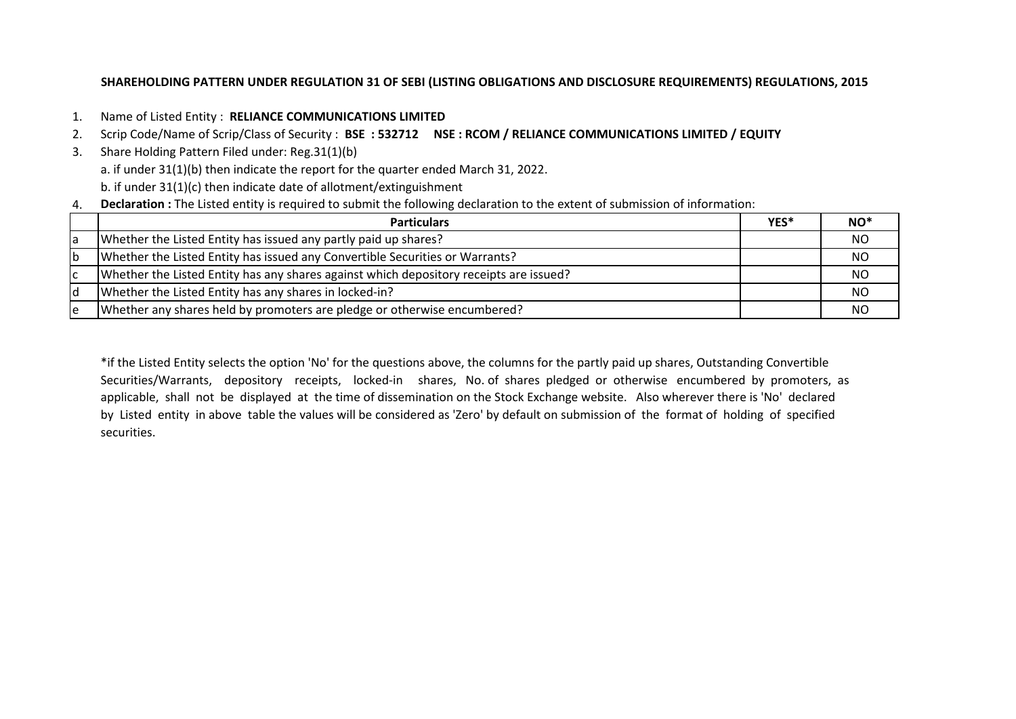# **SHAREHOLDING PATTERN UNDER REGULATION 31 OF SEBI (LISTING OBLIGATIONS AND DISCLOSURE REQUIREMENTS) REGULATIONS, 2015**

- 1. Name of Listed Entity : **RELIANCE COMMUNICATIONS LIMITED**
- 2. Scrip Code/Name of Scrip/Class of Security : **BSE : 532712 NSE : RCOM / RELIANCE COMMUNICATIONS LIMITED / EQUITY**
- 3. Share Holding Pattern Filed under: Reg.31(1)(b) a. if under 31(1)(b) then indicate the report for the quarter ended March 31, 2022. b. if under 31(1)(c) then indicate date of allotment/extinguishment
- 4. **Declaration :** The Listed entity is required to submit the following declaration to the extent of submission of information:

|    | <b>Particulars</b>                                                                     | YES* | NO*       |
|----|----------------------------------------------------------------------------------------|------|-----------|
| Ta | Whether the Listed Entity has issued any partly paid up shares?                        |      | NO        |
| ١b | Whether the Listed Entity has issued any Convertible Securities or Warrants?           |      | NO        |
| Iс | Whether the Listed Entity has any shares against which depository receipts are issued? |      | <b>NO</b> |
|    | Whether the Listed Entity has any shares in locked-in?                                 |      | <b>NO</b> |
| ١e | Whether any shares held by promoters are pledge or otherwise encumbered?               |      | NO        |

\*if the Listed Entity selects the option 'No' for the questions above, the columns for the partly paid up shares, Outstanding Convertible Securities/Warrants, depository receipts, locked-in shares, No. of shares pledged or otherwise encumbered by promoters, as applicable, shall not be displayed at the time of dissemination on the Stock Exchange website. Also wherever there is 'No' declared by Listed entity in above table the values will be considered as 'Zero' by default on submission of the format of holding of specified securities.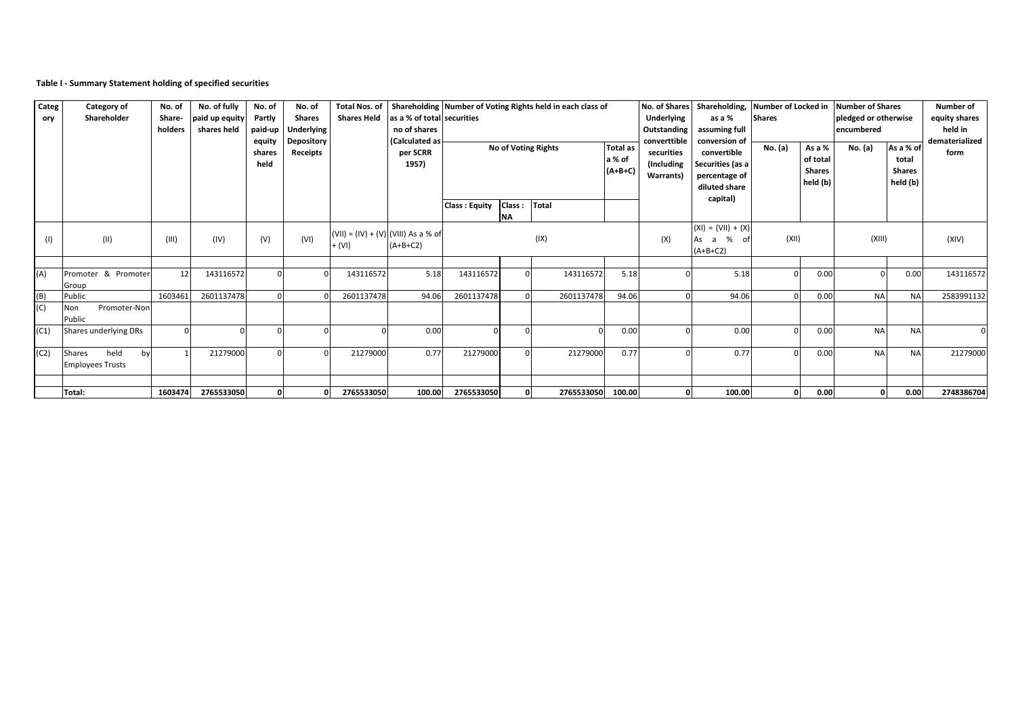## **Table I - Summary Statement holding of specified securities**

| Categ<br>ory | Category of<br>Shareholder                      | No. of<br>Share-<br>holders | No. of fully<br>paid up equity<br>shares held | No. of<br>Partly<br>paid-up<br>equity<br>shares<br>held | No. of<br><b>Shares</b><br><b>Underlying</b><br><b>Depository</b><br>Receipts | <b>Shares Held</b> | as a % of total securities<br>no of shares<br>(Calculated as<br>per SCRR<br>1957) |                      |              | Total Nos. of Shareholding Number of Voting Rights held in each class of<br>No of Voting Rights | <b>Total as</b><br>a % of<br>$(A+B+C)$ | No. of Shares<br><b>Underlying</b><br>Outstanding<br>converttible<br>securities<br>(Including<br>Warrants) | Shareholding,<br>as a %<br>assuming full<br>conversion of<br>convertible<br>Securities (as a<br>percentage of<br>diluted share | Number of Locked in<br><b>Shares</b><br>No. (a) | As a %<br>of total<br><b>Shares</b><br>held (b) | Number of Shares<br>pledged or otherwise<br>encumbered<br>No. (a) | As a % of<br>total<br><b>Shares</b><br>held (b) | Number of<br>equity shares<br>held in<br>dematerialized<br>form |
|--------------|-------------------------------------------------|-----------------------------|-----------------------------------------------|---------------------------------------------------------|-------------------------------------------------------------------------------|--------------------|-----------------------------------------------------------------------------------|----------------------|--------------|-------------------------------------------------------------------------------------------------|----------------------------------------|------------------------------------------------------------------------------------------------------------|--------------------------------------------------------------------------------------------------------------------------------|-------------------------------------------------|-------------------------------------------------|-------------------------------------------------------------------|-------------------------------------------------|-----------------------------------------------------------------|
|              |                                                 |                             |                                               |                                                         |                                                                               |                    |                                                                                   | <b>Class: Equity</b> | Class:<br>ΝA | <b>Total</b>                                                                                    |                                        |                                                                                                            | capital)                                                                                                                       |                                                 |                                                 |                                                                   |                                                 |                                                                 |
| (1)          | (11)                                            | (III)                       | (IV)                                          | (V)                                                     | (VI)                                                                          | $+ (V)$            | (VII) = (IV) + (V) (VIII) As a % of<br>$(A+B+C2)$                                 |                      |              | (IX)                                                                                            | (X)                                    |                                                                                                            | $(XI) = (VII) + (X)$<br>% of<br>As a<br>$(A+B+C2)$                                                                             | (XII)                                           |                                                 | (XIII)                                                            |                                                 | (XIV)                                                           |
| (A)          | Promoter & Promoter<br>Group                    | 12                          | 143116572                                     |                                                         |                                                                               | 143116572          | 5.18                                                                              | 143116572            |              | 143116572                                                                                       | 5.18                                   |                                                                                                            | 5.18                                                                                                                           |                                                 | 0.00                                            | $\Omega$                                                          | 0.00                                            | 143116572                                                       |
| (B)<br>(C)   | Public<br>Promoter-Non<br>Non<br>Public         | 1603461                     | 2601137478                                    |                                                         |                                                                               | 2601137478         | 94.06                                                                             | 2601137478           |              | 2601137478                                                                                      | 94.06                                  |                                                                                                            | 94.06                                                                                                                          |                                                 | 0.00                                            | <b>NA</b>                                                         | <b>NA</b>                                       | 2583991132                                                      |
| (C1)         | Shares underlying DRs                           | $\Omega$                    |                                               |                                                         |                                                                               |                    | 0.00                                                                              | $\Omega$             |              |                                                                                                 | 0.00                                   |                                                                                                            | 0.00                                                                                                                           |                                                 | 0.00                                            | <b>NA</b>                                                         | <b>NA</b>                                       |                                                                 |
| (C2)         | held<br>Shares<br>by<br><b>Employees Trusts</b> |                             | 21279000                                      |                                                         |                                                                               | 21279000           | 0.77                                                                              | 21279000             |              | 21279000                                                                                        | 0.77                                   |                                                                                                            | 0.77                                                                                                                           |                                                 | 0.00                                            | <b>NA</b>                                                         | <b>NA</b>                                       | 21279000                                                        |
|              | Total:                                          | 1603474                     | 2765533050                                    | 0                                                       |                                                                               | 2765533050         | 100.00                                                                            | 2765533050           |              | 2765533050                                                                                      | 100.00                                 |                                                                                                            | 100.00                                                                                                                         |                                                 | 0.00                                            | $\mathbf{0}$                                                      | 0.00                                            | 2748386704                                                      |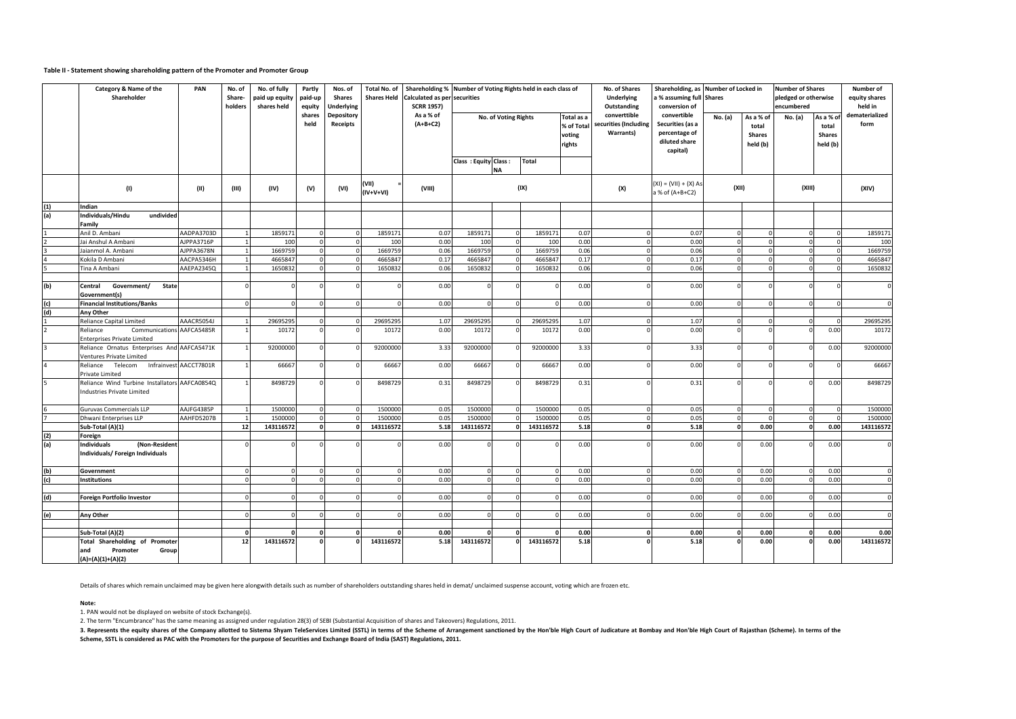#### **Table II - Statement showing shareholding pattern of the Promoter and Promoter Group**

|     | Category & Name of the<br>Shareholder                                              |                        | No. of<br>Share-<br>holders | No. of fully<br>paid up equity<br>shares held | Partly<br>paid-up<br>equity | Nos. of<br><b>Shares</b><br><b>Underlying</b> | Total No. of<br><b>Shares Held</b> | Shareholding % Number of Voting Rights held in each class of<br>Calculated as per securities<br><b>SCRR 1957)</b> |                      |                      |              |                                              | No. of Shares<br><b>Underlying</b><br>Outstanding  | a % assuming full Shares<br>conversion of                                     | Shareholding, as Number of Locked in |                                                 | <b>Number of Shares</b><br>pledged or otherwise<br>encumbered |                                                | Number of<br>equity shares<br>held in |  |  |                                            |       |  |        |  |       |
|-----|------------------------------------------------------------------------------------|------------------------|-----------------------------|-----------------------------------------------|-----------------------------|-----------------------------------------------|------------------------------------|-------------------------------------------------------------------------------------------------------------------|----------------------|----------------------|--------------|----------------------------------------------|----------------------------------------------------|-------------------------------------------------------------------------------|--------------------------------------|-------------------------------------------------|---------------------------------------------------------------|------------------------------------------------|---------------------------------------|--|--|--------------------------------------------|-------|--|--------|--|-------|
|     |                                                                                    |                        |                             |                                               | shares<br>held              | Depository<br>Receipts                        |                                    | As a % of<br>$(A+B+C2)$                                                                                           |                      | No. of Voting Rights |              | Total as a<br>% of Total<br>voting<br>rights | converttible<br>securities (Including<br>Warrants) | convertible<br>Securities (as a<br>percentage of<br>diluted share<br>capital) | No. (a)                              | As a % of<br>total<br><b>Shares</b><br>held (b) | No. (a)                                                       | As a % o<br>total<br><b>Shares</b><br>held (b) | dematerialized<br>form                |  |  |                                            |       |  |        |  |       |
|     |                                                                                    |                        |                             |                                               |                             |                                               |                                    |                                                                                                                   | Class: Equity Class: | <b>NA</b>            | <b>Total</b> |                                              |                                                    |                                                                               |                                      |                                                 |                                                               |                                                |                                       |  |  |                                            |       |  |        |  |       |
|     | (1)                                                                                | (II)                   | (III)                       | (IV)                                          | (V)                         | (VI)                                          | (VII)<br>$(IV+V+VI)$               | (VIII)                                                                                                            |                      | (IX)                 |              |                                              |                                                    |                                                                               |                                      |                                                 |                                                               |                                                |                                       |  |  | $(XI) = (VII) + (X) As$<br>a % of (A+B+C2) | (XII) |  | (XIII) |  | (XIV) |
| (1) | Indian                                                                             |                        |                             |                                               |                             |                                               |                                    |                                                                                                                   |                      |                      |              |                                              |                                                    |                                                                               |                                      |                                                 |                                                               |                                                |                                       |  |  |                                            |       |  |        |  |       |
| (a) | Individuals/Hindu<br>undivided<br>Family                                           |                        |                             |                                               |                             |                                               |                                    |                                                                                                                   |                      |                      |              |                                              |                                                    |                                                                               |                                      |                                                 |                                                               |                                                |                                       |  |  |                                            |       |  |        |  |       |
|     | Anil D. Ambani                                                                     | AADPA3703D             | $\overline{1}$              | 1859171                                       | $\Omega$                    |                                               | 1859171                            | 0.07                                                                                                              | 1859171              |                      | 1859171      | 0.07                                         | $\Omega$                                           | 0.07                                                                          |                                      |                                                 | $\Omega$                                                      |                                                | 1859171                               |  |  |                                            |       |  |        |  |       |
|     | Jai Anshul A Ambani                                                                | AJPPA3716P             |                             | 100                                           | $\Omega$                    |                                               | 100                                | 0.00                                                                                                              | 100                  |                      | 100          | 0.00                                         | $\Omega$                                           | 0.00                                                                          | $\Omega$                             | $\Omega$                                        | $\Omega$                                                      | $\mathbf 0$                                    | 100                                   |  |  |                                            |       |  |        |  |       |
|     | Jaianmol A. Ambani                                                                 | AJPPA3678N             | $\overline{1}$              | 1669759                                       | $\Omega$                    |                                               | 1669759                            | 0.06                                                                                                              | 1669759              |                      | 1669759      | 0.06                                         | $\Omega$                                           | 0.06                                                                          |                                      | $\Omega$                                        | $\Omega$                                                      | $\Omega$                                       | 1669759                               |  |  |                                            |       |  |        |  |       |
|     | Kokila D Ambani                                                                    | AACPA5346H             |                             | 4665847                                       | $\Omega$                    |                                               | 4665847                            | 0.17                                                                                                              | 4665847              |                      | 466584       | 0.17                                         |                                                    | 0.17                                                                          |                                      |                                                 | $\Omega$                                                      | $\Omega$                                       | 4665847                               |  |  |                                            |       |  |        |  |       |
|     | Tina A Ambani                                                                      | AAEPA2345Q             |                             | 1650832                                       |                             |                                               | 1650832                            | 0.06                                                                                                              | 1650832              |                      | 1650832      | 0.06                                         |                                                    | 0.06                                                                          |                                      |                                                 |                                                               |                                                | 1650832                               |  |  |                                            |       |  |        |  |       |
|     |                                                                                    |                        |                             |                                               |                             |                                               |                                    |                                                                                                                   |                      |                      |              |                                              |                                                    |                                                                               |                                      |                                                 |                                                               |                                                |                                       |  |  |                                            |       |  |        |  |       |
| (b) | Government/<br>State<br>Central<br>Government(s)                                   |                        |                             |                                               |                             |                                               |                                    | 0.00                                                                                                              |                      |                      |              | 0.00                                         |                                                    | 0.00                                                                          |                                      |                                                 | $\Omega$                                                      |                                                | $\Omega$                              |  |  |                                            |       |  |        |  |       |
|     | <b>Financial Institutions/Banks</b>                                                |                        | $\Omega$                    |                                               |                             |                                               |                                    | 0.00                                                                                                              |                      |                      |              | 0.00                                         |                                                    | 0.00                                                                          |                                      |                                                 |                                                               |                                                | $\mathbf 0$                           |  |  |                                            |       |  |        |  |       |
| (d) | Any Other                                                                          |                        |                             |                                               |                             |                                               |                                    |                                                                                                                   |                      |                      |              |                                              |                                                    |                                                                               |                                      |                                                 |                                                               |                                                |                                       |  |  |                                            |       |  |        |  |       |
|     | Reliance Capital Limited                                                           | AAACR5054J             | $\overline{1}$              | 29695295                                      | $\Omega$                    |                                               | 29695295                           | 1.07                                                                                                              | 29695295             |                      | 29695295     | 1.07                                         | $\Omega$                                           | 1.07                                                                          | $\Omega$                             |                                                 | $\Omega$                                                      | $\Omega$                                       | 29695295                              |  |  |                                            |       |  |        |  |       |
|     | Communications AAFCA5485R<br>Reliance<br>Enterprises Private Limited               |                        |                             | 10172                                         |                             |                                               | 10172                              | 0.00                                                                                                              | 10172                |                      | 10172        | 0.00                                         | $\Omega$                                           | 0.00                                                                          |                                      |                                                 | $\Omega$                                                      | 0.00                                           | 10172                                 |  |  |                                            |       |  |        |  |       |
|     | Reliance Ornatus Enterprises And AAFCA5471K<br>Ventures Private Limited            |                        |                             | 92000000                                      |                             |                                               | 92000000                           | 3.33                                                                                                              | 92000000             |                      | 9200000      | 3.33                                         |                                                    | 3.33                                                                          |                                      |                                                 |                                                               | 0.00                                           | 92000000                              |  |  |                                            |       |  |        |  |       |
|     | Telecom<br>Reliance<br>Private Limited                                             | Infrainvest AACCT7801R |                             | 66667                                         | $\Omega$                    |                                               | 66667                              | 0.00                                                                                                              | 66667                |                      | 66667        | 0.00                                         | $\Omega$                                           | 0.00                                                                          | $\Omega$                             |                                                 | $\Omega$                                                      |                                                | 66667                                 |  |  |                                            |       |  |        |  |       |
|     | Reliance Wind Turbine Installators AAFCA0854Q<br><b>Industries Private Limited</b> |                        |                             | 8498729                                       |                             |                                               | 8498729                            | 0.31                                                                                                              | 8498729              |                      | 8498729      | 0.31                                         |                                                    | 0.31                                                                          |                                      |                                                 | $\Omega$                                                      | 0.00                                           | 8498729                               |  |  |                                            |       |  |        |  |       |
|     | <b>Guruvas Commercials LLP</b>                                                     | AAJFG4385P             | $\overline{1}$              | 1500000                                       | $\Omega$                    |                                               | 1500000                            | 0.05                                                                                                              | 1500000              |                      | 150000       | 0.05                                         | $\mathbf{0}$                                       | 0.05                                                                          | $\Omega$                             | $\Omega$                                        | $\mathbf{0}$                                                  | $\Omega$                                       | 1500000                               |  |  |                                            |       |  |        |  |       |
|     | Dhwani Enterprises LLP                                                             | AAHFD5207B             | $\overline{1}$              | 1500000                                       | $\Omega$                    |                                               | 1500000                            | 0.05                                                                                                              | 1500000              |                      | 150000       | 0.05                                         | $\Omega$                                           | 0.05                                                                          | $\Omega$                             |                                                 | $\Omega$                                                      | $\Omega$                                       | 1500000                               |  |  |                                            |       |  |        |  |       |
|     | Sub-Total (A)(1)                                                                   |                        | 12                          | 143116572                                     | $\Omega$                    | n                                             | 143116572                          | 5.18                                                                                                              | 143116572            |                      | 143116572    | 5.18                                         | o                                                  | 5.18                                                                          | $\Omega$                             | 0.00                                            | $\mathbf{0}$                                                  | 0.00                                           | 143116572                             |  |  |                                            |       |  |        |  |       |
| (2) | Foreign                                                                            |                        |                             |                                               |                             |                                               |                                    |                                                                                                                   |                      |                      |              |                                              |                                                    |                                                                               |                                      |                                                 |                                                               |                                                |                                       |  |  |                                            |       |  |        |  |       |
| (a) | <b>Individuals</b><br>(Non-Resident<br>Individuals/ Foreign Individuals            |                        |                             | c                                             |                             |                                               |                                    | 0.00                                                                                                              |                      |                      |              | 0.00                                         |                                                    | 0.00                                                                          |                                      | 0.00                                            |                                                               | 0.00                                           | $\Omega$                              |  |  |                                            |       |  |        |  |       |
| (b) | Government                                                                         |                        | $\Omega$                    | $\Omega$                                      |                             |                                               |                                    | 0.00                                                                                                              |                      |                      |              | 0.00                                         |                                                    | 0.00                                                                          |                                      | 0.00                                            |                                                               | 0.00                                           | $\Omega$                              |  |  |                                            |       |  |        |  |       |
| (c) | <b>Institutions</b>                                                                |                        | $\Omega$                    | $\Omega$                                      | $\Omega$                    | $\Omega$                                      | $\Omega$                           | 0.00                                                                                                              | $\Omega$             |                      | $\Omega$     | 0.00                                         | $\Omega$                                           | 0.00                                                                          | $\Omega$                             | 0.00                                            | $\Omega$                                                      | 0.00                                           | $\overline{0}$                        |  |  |                                            |       |  |        |  |       |
|     |                                                                                    |                        |                             |                                               |                             |                                               |                                    |                                                                                                                   |                      |                      |              |                                              |                                                    |                                                                               |                                      |                                                 |                                                               |                                                |                                       |  |  |                                            |       |  |        |  |       |
| (d) | Foreign Portfolio Investor                                                         |                        | $\Omega$                    | $\Omega$                                      |                             |                                               |                                    | 0.00                                                                                                              |                      |                      |              | 0.00                                         |                                                    | 0.00                                                                          |                                      | 0.00                                            |                                                               | 0.00                                           | $\mathbf 0$                           |  |  |                                            |       |  |        |  |       |
|     |                                                                                    |                        |                             |                                               |                             |                                               |                                    |                                                                                                                   |                      |                      |              |                                              |                                                    |                                                                               |                                      |                                                 |                                                               |                                                |                                       |  |  |                                            |       |  |        |  |       |
| (e) | Any Other                                                                          |                        | $\Omega$                    | $\Omega$                                      |                             |                                               |                                    | 0.00                                                                                                              |                      |                      |              | 0.00                                         |                                                    | 0.00                                                                          |                                      | 0.00                                            |                                                               | 0.00                                           | $\Omega$                              |  |  |                                            |       |  |        |  |       |
|     |                                                                                    |                        | $\mathbf{0}$                |                                               | $\Omega$                    |                                               | $\Omega$                           | 0.00                                                                                                              | $\Omega$             |                      |              | 0.00                                         | $\Omega$                                           | 0.00                                                                          | $\Omega$                             | 0.00                                            | $\Omega$                                                      | 0.00                                           | 0.00                                  |  |  |                                            |       |  |        |  |       |
|     | Sub-Total (A)(2)<br><b>Total Shareholding of Promoter</b>                          |                        | 12                          | 143116572                                     |                             |                                               | 143116572                          | 5.18                                                                                                              | 143116572            |                      | 143116572    | 5.18                                         |                                                    | 5.18                                                                          |                                      | 0.00                                            |                                                               | 0.00                                           | 143116572                             |  |  |                                            |       |  |        |  |       |
|     | and<br>Promoter<br>Group<br>(A)=(A)(1)+(A)(2)                                      |                        |                             |                                               |                             |                                               |                                    |                                                                                                                   |                      |                      |              |                                              |                                                    |                                                                               |                                      |                                                 |                                                               |                                                |                                       |  |  |                                            |       |  |        |  |       |

Details of shares which remain unclaimed may be given here alongwith details such as number of shareholders outstanding shares held in demat/ unclaimed suspense account, voting which are frozen etc.

**Note:**

1. PAN would not be displayed on website of stock Exchange(s).

2. The term "Encumbrance" has the same meaning as assigned under regulation 28(3) of SEBI (Substantial Acquisition of shares and Takeovers) Regulations, 2011.<br>3. Represents the equity shares of the Company allotted to Sist **Scheme, SSTL is considered as PAC with the Promoters for the purpose of Securities and Exchange Board of India (SAST) Regulations, 2011.**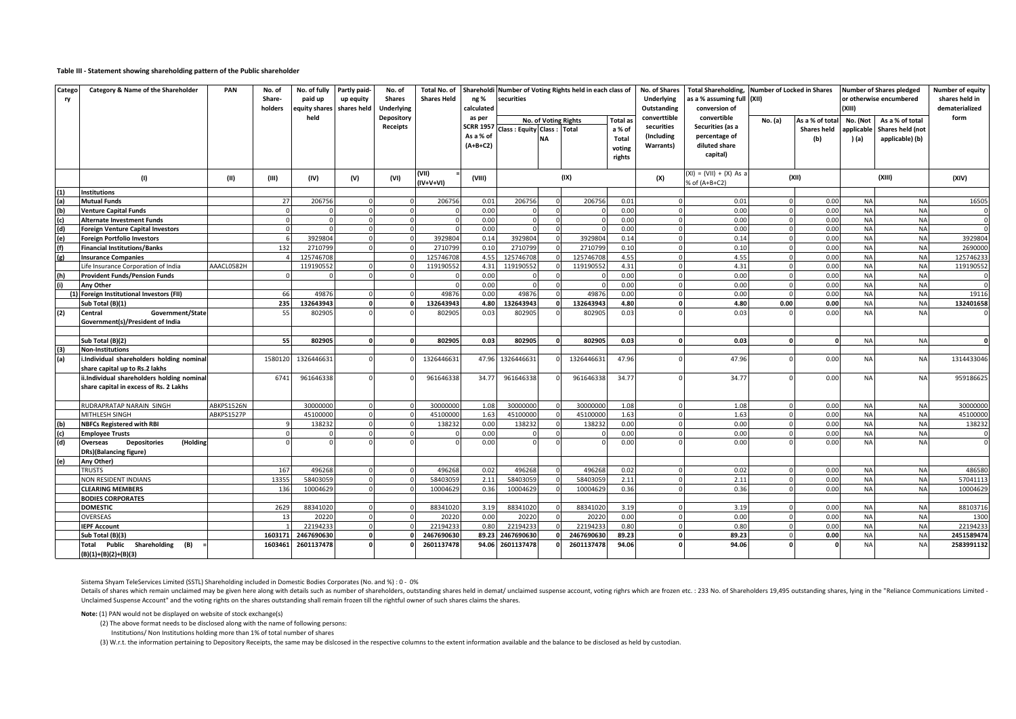#### **Table III - Statement showing shareholding pattern of the Public shareholder**

| Catego<br>ry | Category & Name of the Shareholder                 | PAN        | No. of<br>Share-<br>holders | No. of fully<br>paid up<br>equity shares | Partly paid-<br>up equity<br>shares held | No. of<br><b>Shares</b><br><b>Underlying</b> | <b>Total No. of</b><br><b>Shares Held</b> | ng %<br>calculated         | Shareholdi Number of Voting Rights held in each class of<br>securities |                          |            |                    | No. of Shares<br><b>Underlying</b><br>Outstanding | conversion of                            | Total Shareholding, Number of Locked in Shares<br>as a % assuming full (XII) |                                       |                        | <b>Number of Shares pledged</b><br>or otherwise encumbered<br>(XIII) |              |  |
|--------------|----------------------------------------------------|------------|-----------------------------|------------------------------------------|------------------------------------------|----------------------------------------------|-------------------------------------------|----------------------------|------------------------------------------------------------------------|--------------------------|------------|--------------------|---------------------------------------------------|------------------------------------------|------------------------------------------------------------------------------|---------------------------------------|------------------------|----------------------------------------------------------------------|--------------|--|
|              |                                                    |            |                             | held                                     |                                          | Depository<br>Receipts                       |                                           | as per<br><b>SCRR 1957</b> | No. of Voting Rights<br>Class: Equity Class:                           |                          | Total      | Total as<br>a % of | converttible<br>securities                        | convertible<br>Securities (as a          | No. (a)                                                                      | As a % of total<br><b>Shares held</b> | No. (Not<br>applicable | As a % of total<br>Shares held (not                                  | form         |  |
|              |                                                    |            |                             |                                          |                                          |                                              |                                           | As a % of<br>$(A+B+C2)$    |                                                                        | <b>NA</b>                |            | Total<br>voting    | (Including<br><b>Warrants)</b>                    | percentage of<br>diluted share           |                                                                              | (b)                                   | ) (a)                  | applicable) (b)                                                      |              |  |
|              |                                                    |            |                             |                                          |                                          |                                              |                                           |                            |                                                                        |                          |            | rights             |                                                   | capital)                                 |                                                                              |                                       |                        |                                                                      |              |  |
|              | (1)                                                | (II)       | (III)                       | (IV)                                     | (V)                                      | (VI)                                         | (VII)<br>(IV+V+VI)                        | (VIII)                     |                                                                        |                          | (IX)       |                    | (X)                                               | (XI) = (VII) + (X) As a<br>% of (A+B+C2) |                                                                              | (XII)                                 |                        | (XIII)                                                               | (XIV)        |  |
| (1)          | <b>Institutions</b>                                |            |                             |                                          |                                          |                                              |                                           |                            |                                                                        |                          |            |                    |                                                   |                                          |                                                                              |                                       |                        |                                                                      |              |  |
| (a)          | <b>Mutual Funds</b>                                |            | 27                          | 206756                                   |                                          |                                              | 206756                                    | 0.01                       | 206756                                                                 | $\Omega$                 | 206756     | 0.01               |                                                   | 0.01                                     |                                                                              | 0.00                                  | <b>NA</b>              | <b>NA</b>                                                            | 16505        |  |
| (b)          | <b>Venture Capital Funds</b>                       |            | $\Omega$                    |                                          |                                          |                                              |                                           | 0.00                       |                                                                        |                          |            | 0.00               |                                                   | 0.00                                     |                                                                              | 0.00                                  | <b>NA</b>              | <b>NA</b>                                                            |              |  |
| (c)          | <b>Alternate Investment Funds</b>                  |            | $\Omega$                    |                                          |                                          |                                              |                                           | 0.00                       |                                                                        |                          |            | 0.00               |                                                   | 0.00                                     |                                                                              | 0.00                                  | <b>NA</b>              | <b>NA</b>                                                            |              |  |
| (d)          | <b>Foreign Venture Capital Investors</b>           |            | $\mathbf{0}$                |                                          |                                          |                                              |                                           | 0.00                       |                                                                        |                          |            | 0.00               | $\Omega$                                          | 0.00                                     |                                                                              | 0.00                                  | <b>NA</b>              | <b>NA</b>                                                            |              |  |
| (e)          | <b>Foreign Portfolio Investors</b>                 |            | 6                           | 3929804                                  |                                          |                                              | 3929804                                   | 0.14                       | 3929804                                                                | $\Omega$                 | 3929804    | 0.14               | $\Omega$                                          | 0.14                                     |                                                                              | 0.00                                  | <b>NA</b>              | <b>NA</b>                                                            | 3929804      |  |
| (f)          | <b>Financial Institutions/Banks</b>                |            | 132                         | 271079                                   |                                          | $\Omega$                                     | 2710799                                   | 0.10                       | 271079                                                                 |                          | 271079     | 0.10               | $\Omega$                                          | 0.10                                     |                                                                              | 0.00                                  | <b>NA</b>              | <b>NA</b>                                                            | 2690000      |  |
| (g)          | <b>Insurance Companies</b>                         |            |                             | 125746708                                |                                          |                                              | 125746708                                 | 4.55                       | 125746708                                                              | $\Omega$                 | 125746708  | 4.55               | $\Omega$                                          | 4.55                                     |                                                                              | 0.00                                  | <b>NA</b>              | <b>NA</b>                                                            | 125746233    |  |
|              | Life Insurance Corporation of India                | AAACL0582H |                             | 119190552                                |                                          | $\Omega$                                     | 119190552                                 | 4.31                       | 11919055                                                               | $\Omega$                 | 119190552  | 4.31               | $\Omega$                                          | 4.31                                     |                                                                              | 0.00                                  | <b>NA</b>              | <b>NA</b>                                                            | 119190552    |  |
| (h)          | <b>Provident Funds/Pension Funds</b>               |            | $\Omega$                    |                                          |                                          |                                              | $\Omega$                                  | 0.00                       |                                                                        | $\Omega$                 |            | 0.00               | $\Omega$                                          | 0.00                                     |                                                                              | 0.00                                  | <b>NA</b>              | <b>NA</b>                                                            |              |  |
| (i)          | <b>Anv Other</b>                                   |            |                             |                                          |                                          |                                              | $\Omega$                                  | 0.00                       |                                                                        | $\Omega$                 |            | 0.00               | $\Omega$                                          | 0.00                                     |                                                                              | 0.00                                  | <b>NA</b>              | <b>NA</b>                                                            | $\Omega$     |  |
|              | (1) Foreign Institutional Investors (FII)          |            | 66                          | 49876                                    |                                          |                                              | 49876                                     | 0.00                       | 49876                                                                  | $\Omega$<br>$\mathbf{a}$ | 49876      | 0.00               | $\Omega$<br>$\mathbf{0}$                          | 0.00                                     |                                                                              | 0.00                                  | <b>NA</b>              | <b>NA</b>                                                            | 19116        |  |
|              | Sub Total (B)(1)                                   |            | 235                         | 132643943                                |                                          |                                              | 132643943                                 | 4.80                       | 132643943                                                              |                          | 132643943  | 4.80               |                                                   | 4.80                                     | 0.00                                                                         | 0.00                                  | <b>NA</b>              | <b>NA</b>                                                            | 132401658    |  |
| (2)          | Central<br>Government/State                        |            | 55                          | 802905                                   |                                          |                                              | 802905                                    | 0.03                       | 802905                                                                 |                          | 802905     | 0.03               |                                                   | 0.03                                     |                                                                              | 0.00                                  | <b>NA</b>              | <b>NA</b>                                                            |              |  |
|              | Government(s)/President of India                   |            |                             |                                          |                                          |                                              |                                           |                            |                                                                        |                          |            |                    |                                                   |                                          |                                                                              |                                       |                        |                                                                      |              |  |
|              | Sub Total (B)(2)                                   |            | 55                          | 802905                                   |                                          |                                              | 802905                                    | 0.03                       | 802905                                                                 | o                        | 802905     | 0.03               | $\mathbf{0}$                                      | 0.03                                     |                                                                              | $\mathbf{0}$                          | <b>NA</b>              | <b>NA</b>                                                            | 0            |  |
| (3)          | <b>Non-Institutions</b>                            |            |                             |                                          |                                          |                                              |                                           |                            |                                                                        |                          |            |                    |                                                   |                                          |                                                                              |                                       |                        |                                                                      |              |  |
| (a)          | i.Individual shareholders holding nominal          |            | 1580120                     | 1326446631                               |                                          |                                              | 1326446631                                | 47.96                      | 132644663                                                              |                          | 1326446631 | 47.96              |                                                   | 47.96                                    |                                                                              | 0.00                                  | <b>NA</b>              | <b>NA</b>                                                            | 1314433046   |  |
|              | share capital up to Rs.2 lakhs                     |            |                             |                                          |                                          |                                              |                                           |                            |                                                                        |                          |            |                    |                                                   |                                          |                                                                              |                                       |                        |                                                                      |              |  |
|              | ii.Individual shareholders holding nominal         |            | 6741                        | 961646338                                |                                          |                                              | 961646338                                 | 34.77                      | 961646338                                                              |                          | 961646338  | 34.77              |                                                   | 34.77                                    |                                                                              | 0.00                                  | <b>NA</b>              | <b>NA</b>                                                            | 959186625    |  |
|              | share capital in excess of Rs. 2 Lakhs             |            |                             |                                          |                                          |                                              |                                           |                            |                                                                        |                          |            |                    |                                                   |                                          |                                                                              |                                       |                        |                                                                      |              |  |
|              |                                                    |            |                             |                                          |                                          |                                              |                                           |                            |                                                                        |                          |            |                    |                                                   |                                          |                                                                              |                                       |                        |                                                                      |              |  |
|              | RUDRAPRATAP NARAIN SINGH                           | ABKPS1526N |                             | 30000000                                 |                                          |                                              | 30000000                                  | 1.08                       | 30000000                                                               |                          | 3000000    | 1.08               |                                                   | 1.08                                     |                                                                              | 0.00                                  | <b>NA</b>              | <b>NA</b>                                                            | 30000000     |  |
|              | MITHLESH SINGH                                     | ABKPS1527P |                             | 45100000                                 |                                          |                                              | 45100000                                  | 1.63                       | 45100000                                                               |                          | 4510000    | 1.63               |                                                   | 1.63                                     |                                                                              | 0.00                                  | <b>NA</b>              | <b>NA</b>                                                            | 45100000     |  |
| (b)          | <b>NBFCs Registered with RBI</b>                   |            |                             | 138232                                   |                                          |                                              | 138232                                    | 0.00                       | 138232                                                                 | $\Omega$                 | 138232     | 0.00               | $\Omega$                                          | 0.00                                     |                                                                              | 0.00                                  | <b>NA</b>              | <b>NA</b>                                                            | 138232       |  |
| (c)          | <b>Employee Trusts</b>                             |            | $\mathbf{0}$                |                                          |                                          | $\Omega$                                     |                                           | 0.00                       |                                                                        | $\Omega$                 |            | 0.00               | $\Omega$                                          | 0.00                                     |                                                                              | 0.00                                  | <b>NA</b>              | <b>NA</b>                                                            | $\mathbf{0}$ |  |
| (d)          | <b>Depositories</b><br>(Holding<br><b>Overseas</b> |            |                             |                                          |                                          |                                              |                                           | 0.00                       |                                                                        |                          |            | 0.00               |                                                   | 0.00                                     |                                                                              | 0.00                                  | <b>NA</b>              | <b>NA</b>                                                            |              |  |
|              | DRs)(Balancing figure)                             |            |                             |                                          |                                          |                                              |                                           |                            |                                                                        |                          |            |                    |                                                   |                                          |                                                                              |                                       |                        |                                                                      |              |  |
| (e)          | Any Other)                                         |            |                             |                                          |                                          |                                              |                                           |                            |                                                                        |                          |            |                    |                                                   |                                          |                                                                              |                                       |                        |                                                                      |              |  |
|              | <b>TRUSTS</b>                                      |            | 167                         | 496268                                   |                                          |                                              | 496268                                    | 0.02                       | 496268                                                                 | $\overline{0}$           | 496268     | 0.02               | $\Omega$                                          | 0.02                                     |                                                                              | 0.00                                  | <b>NA</b>              | <b>NA</b>                                                            | 486580       |  |
|              | NON RESIDENT INDIANS                               |            | 13355                       | 58403059                                 |                                          |                                              | 58403059                                  | 2.11                       | 58403059                                                               | $\overline{0}$           | 58403059   | 2.11               | $\Omega$                                          | 2.11                                     |                                                                              | 0.00                                  | <b>NA</b>              | <b>NA</b>                                                            | 57041113     |  |
|              | <b>CLEARING MEMBERS</b>                            |            | 136                         | 10004629                                 |                                          |                                              | 10004629                                  | 0.36                       | 10004629                                                               |                          | 10004629   | 0.36               | $\Omega$                                          | 0.36                                     |                                                                              | 0.00                                  | <b>NA</b>              | <b>NA</b>                                                            | 10004629     |  |
|              | <b>BODIES CORPORATES</b>                           |            |                             |                                          |                                          |                                              |                                           |                            |                                                                        |                          |            |                    |                                                   |                                          |                                                                              |                                       |                        |                                                                      |              |  |
|              | <b>DOMESTIC</b>                                    |            | 2629                        | 88341020                                 |                                          |                                              | 88341020                                  | 3.19                       | 88341020                                                               |                          | 88341020   | 3.19               |                                                   | 3.19                                     |                                                                              | 0.00                                  | <b>NA</b>              | <b>NA</b>                                                            | 88103716     |  |
|              | <b>OVERSEAS</b>                                    |            | 13                          | 20220                                    |                                          |                                              | 20220                                     | 0.00                       | 20220                                                                  |                          | 20220      | 0.00               | $\Omega$                                          | 0.00                                     |                                                                              | 0.00                                  | <b>NA</b>              | <b>NA</b>                                                            | 1300         |  |
|              | <b>IEPF Account</b>                                |            | $\mathbf{1}$                | 2219423                                  | $\Omega$                                 |                                              | 22194233                                  | 0.80                       | 2219423                                                                |                          | 22194233   | 0.80               | $\mathbf 0$                                       | 0.80                                     |                                                                              | 0.00                                  | <b>NA</b>              | <b>NA</b>                                                            | 22194233     |  |
|              | Sub Total (B)(3)                                   |            | 1603171                     | 2467690630                               | $\Omega$                                 | $\mathbf{0}$                                 | 2467690630                                | 89.23                      | 2467690630                                                             |                          | 2467690630 | 89.23              | $\mathbf{o}$                                      | 89.23                                    |                                                                              | 0.00                                  | <b>NA</b>              | <b>NA</b>                                                            | 2451589474   |  |
|              | Public<br>Shareholding (B)<br>Total                |            | 1603461                     | 2601137478                               |                                          |                                              | 2601137478                                | 94.06                      | 2601137478                                                             |                          | 2601137478 | 94.06              | $\sqrt{2}$                                        | 94.06                                    |                                                                              | $\Omega$                              | <b>NA</b>              | <b>NA</b>                                                            | 2583991132   |  |
|              | $(B)(1)+(B)(2)+(B)(3)$                             |            |                             |                                          |                                          |                                              |                                           |                            |                                                                        |                          |            |                    |                                                   |                                          |                                                                              |                                       |                        |                                                                      |              |  |

Sistema Shyam TeleServices Limited (SSTL) Shareholding included in Domestic Bodies Corporates (No. and %) : 0 - 0%

Details of shares which remain unclaimed may be given here along with details such as number of shareholders, outstanding shares held in demat/ unclaimed suspense account, voting righrs which are frozen etc. : 233 No. of S Unclaimed Suspense Account" and the voting rights on the shares outstanding shall remain frozen till the rightful owner of such shares claims the shares.

**Note:** (1) PAN would not be displayed on website of stock exchange(s)

(2) The above format needs to be disclosed along with the name of following persons:

Institutions/ Non Institutions holding more than 1% of total number of shares

(3) W.r.t. the information pertaining to Depository Receipts, the same may be dislcosed in the respective columns to the extent information available and the balance to be disclosed as held by custodian.